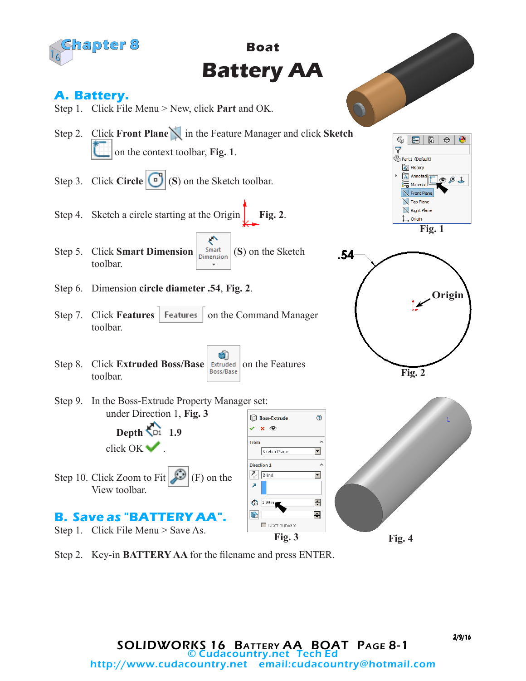

Step 2. Key-in **BATTERY AA** for the filename and press ENTER.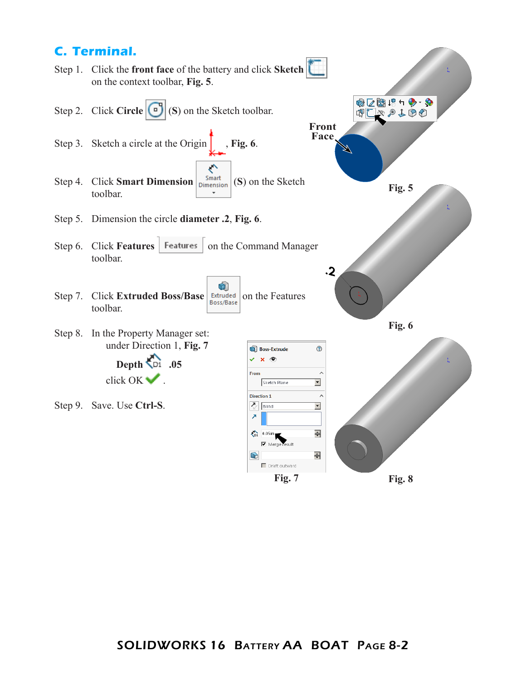## **C. Terminal.**

Step 1. Click the **front face** of the battery and click **Sketch** on the context toolbar, **Fig. 5**.

- Step 2. Click **Circle** (**S**) on the Sketch toolbar.
- Step 3. Sketch a circle at the Origin  $\int$ , **Fig. 6**.
- ぐ Step 4. Click **Smart Dimension**  $\begin{vmatrix}$ **Smart** (**S**) on the Sketch toolbar.
- Step 5. Dimension the circle **diameter .2**, **Fig. 6**.
- Step 6. Click **Features** | Features | on the Command Manager toolbar.
- Ù Step 7. Click **Extruded Boss/Base Extruded** on the Features toolbar.
- Step 8. In the Property Manager set: under Direction 1, **Fig. 7 Depth .05**

click OK ...

Step 9. Save. Use **Ctrl-S**.



●区園19ヶ◆・◆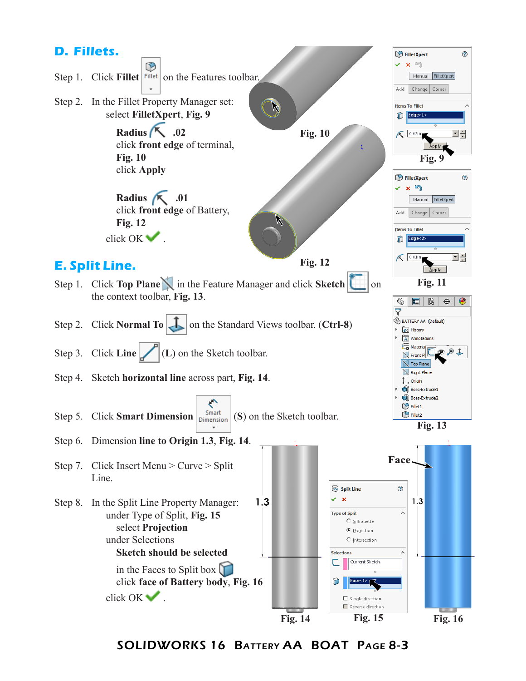

SOLIDWORKS 16 Battery AA BOAT Page 8-3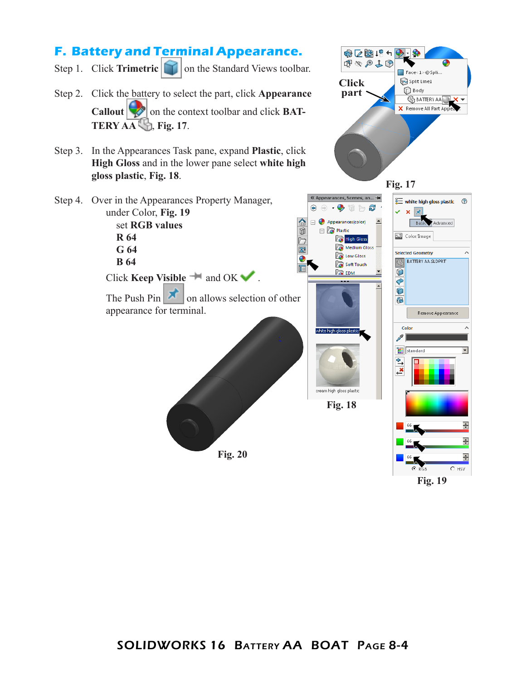